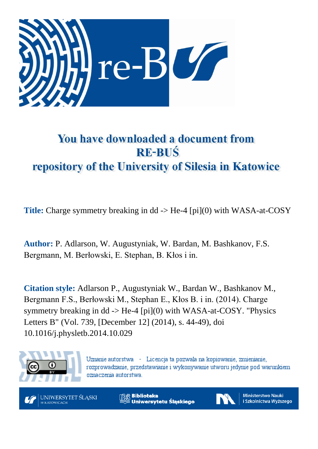

# You have downloaded a document from **RE-BUŚ** repository of the University of Silesia in Katowice

**Title:** Charge symmetry breaking in dd -> He-4 [pi](0) with WASA-at-COSY

**Author:** P. Adlarson, W. Augustyniak, W. Bardan, M. Bashkanov, F.S. Bergmann, M. Berłowski, E. Stephan, B. Kłos i in.

**Citation style:** Adlarson P., Augustyniak W., Bardan W., Bashkanov M., Bergmann F.S., Berłowski M., Stephan E., Kłos B. i in. (2014). Charge symmetry breaking in dd  $\rightarrow$  He-4 [pi](0) with WASA-at-COSY. "Physics Letters B" (Vol. 739, [December 12] (2014), s. 44-49), doi 10.1016/j.physletb.2014.10.029



Uznanie autorstwa - Licencja ta pozwala na kopiowanie, zmienianie, rozprowadzanie, przedstawianie i wykonywanie utworu jedynie pod warunkiem oznaczenia autorstwa.



**Biblioteka** Uniwersytetu Śląskiego



**Ministerstwo Nauki** i Szkolnictwa Wyższego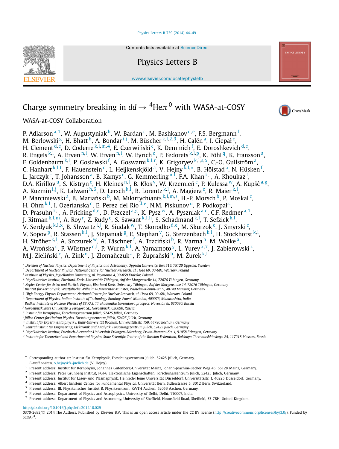#### [Physics Letters B 739 \(2014\) 44–49](http://dx.doi.org/10.1016/j.physletb.2014.10.029)



Contents lists available at [ScienceDirect](http://www.ScienceDirect.com/)

Physics Letters B

[www.elsevier.com/locate/physletb](http://www.elsevier.com/locate/physletb)

## Charge symmetry breaking in  $dd \rightarrow$  <sup>4</sup>He $\pi$ <sup>0</sup> with WASA-at-COSY



WASA-at-COSY Collaboration

P. Adlarson <sup>a, 1</sup>, W. Augustyniak <sup>b</sup>, W. Bardan <sup>c</sup>, M. Bashkanov <sup>d, e</sup>, F.S. Bergmann <sup>f</sup>, M. Berłowski <sup>g</sup>, H. Bhatt h, A. Bondar i,j, M. Büscher <sup>k, l, 2, 3</sup>, H. Calén <sup>a</sup>, I. Ciepał <sup>c</sup>, H. Clement <sup>d,e</sup>, D. Coderre <sup>k, l, m, 4</sup>, E. Czerwiński <sup>c</sup>, K. Demmich <sup>f</sup>, E. Doroshkevich <sup>d, e</sup>, R. Engels <sup>k, l</sup>, A. Erven <sup>n, l</sup>, W. Erven <sup>n, l</sup>, W. Eyrich <sup>o</sup>, P. Fedorets <sup>k, l, p</sup>, K. Föhl <sup>q</sup>, K. Fransson <sup>a</sup>, F. Goldenbaum <sup>k, ļ</sup>, P. Goslawski <sup>f</sup>, A. Goswami <sup>k, ļ, [r](#page-2-0)</[s](#page-2-0)up>, K. Grigoryev <sup>k, ļ, s, 5</sup>, C.-O. Gullström <sup>a</sup>, C. Hanhar[t](#page-2-0) <sup>k, ļ, t</sup>, F. Hauenstein <sup>o</sup>, L. Heijkenskjöld <sup>a</sup>, V. Hejny <sup>k, ļ,</sup> \*, B. Höistad <sup>a</sup>, N. Hüsken <sup>f</sup>, L. Jarczyk <sup>c</sup>, T. Johansson <sup>a</sup>, B. Kamys <sup>c</sup>, G. Kemmerling <sup>n,]</sup>, F.A. Khan <sup>k, l</sup>, A. Khoukaz <sup>f</sup>, D.A. Kirillov <sup>u</sup>, S. Kistryn <sup>c</sup>, H. Kleines <sup>n, l</sup>, B. Kłos <sup>v</sup>, W. Krzemień <sup>c</sup>, P. Kulessa <sup>w</sup>, A. Kupść <sup>a, g</sup>, A. Kuzmin<sup>i,j</sup>, K. Lalwani<sup>h,6</sup>, D. Lersch<sup>k,l</sup>, B. Lorentz<sup>k,l</sup>, A. Magiera<sup>c</sup>, R. Maier<sup>k,l</sup>, P. Marciniew[s](#page-2-0)ki <sup>a</sup>, B. Mariański <sup>b</sup>, M. Mikirtychiants <sup>k, l, m, s</sup>, H.-P. Morsch <sup>b</sup>, P. Moskal <sup>c</sup>, H. Ohm<sup>k, l</sup>, I. Ozerianska <sup>c</sup>, E. Perez del Rio <sup>d, e</sup>, N.M. Piskunov <sup>u</sup>, P. Podkopał <sup>c</sup>, D. Prasuhn <sup>k, l</sup>, A. Pricking <sup>d, e</sup>, D. Pszczel <sup>a, g</sup>, K. Pysz <sup>w</sup>, A. Pyszniak <sup>a, c</sup>, C.F. Redmer <sup>a, 1</sup>, J. Ritman <sup>k, l, m</sup>, A. Roy <sup>[r](#page-2-0)</sup>, Z. Rudy <sup>c</sup>, S. Sawant <sup>k, l, h</sup>, S. Schadmand <sup>k, l</sup>, T. Sefzick <sup>k, l</sup>, V. Serdyuk <sup>k, ļ, x</sup>, B. Shwartz <sup>i, j</sup>, R. Siudak <sup>w</sup>, T. Skorodko <sup>d, e</sup>, M. Skurzok <sup>c</sup>, J. Smyrski <sup>c</sup>, V. Sopov <sup>p</sup>, R. Stassen <sup>k, l</sup>, J. Stepaniak <sup>g</sup>, E. Stephan <sup>v</sup>, G. Sterzenbach <sup>k, l</sup>, H. Stockhorst <sup>k, l</sup>, H. Ströher <sup>k, l</sup>, A. Szczurek <sup>w</sup>, A. Täschner <sup>f</sup>, A. Trzciński <sup>b</sup>, R. Varma <sup>h</sup>, M. Wolke <sup>a</sup>, A. Wrońska <sup>c</sup>, P. Wüstner <sup>n, l</sup>, P. Wurm <sup>k, l</sup>, A. Yamamoto <sup>y</sup>, L. Yurev <sup>[x](#page-2-0), 7</sup>, J. Zabierowski <sup>z</sup>, M.J. Zieliński<sup>c</sup>, A. Zink<sup>o</sup>, J. Złomańczuk<sup>a</sup>, P. Żuprański<sup>b</sup>, M. Żurek<sup>k, l</sup>

a Division of Nuclear Physics, Department of Physics and Astronomy, Uppsala University, Box 516, 75120 Uppsala, Sweden

<sup>b</sup> *Department of Nuclear Physics, National Centre for Nuclear Research, ul. Hoza 69, 00-681, Warsaw, Poland*

- <sup>3</sup> Present address: Institut für Laser- und Plasmaphysik, Heinrich-Heine Universität Düsseldorf, Universitätsstr. 1, 40225 Düsseldorf, Germany.
- 4 Present address: Albert Einstein Center for Fundamental Physics, Universität Bern, Sidlerstrasse 5, 3012 Bern, Switzerland.<br>5 Present address: III. Physikalisches Institut B. Physikaattrum, PMTIJ Aashen, 50056 Aashen Cer
- <sup>5</sup> Present address: III. Physikalisches Institut B, Physikzentrum, RWTH Aachen, 52056 Aachen, Germany.
- <sup>6</sup> Present address: Department of Physics and Astrophysics, University of Delhi, Delhi, 110007, India.
- <sup>7</sup> Present address: Department of Physics and Astronomy, University of Sheffield, Hounsfield Road, Sheffield, S3 7RH, United Kingdom.

#### <http://dx.doi.org/10.1016/j.physletb.2014.10.029>

0370-2693/© 2014 The Authors. Published by Elsevier B.V. This is an open access article under the CC BY license [\(http://creativecommons.org/licenses/by/3.0/\)](http://creativecommons.org/licenses/by/3.0/). Funded by SCOAP<sup>3</sup>.

<sup>c</sup> *Institute of Physics, Jagiellonian University, ul. Reymonta 4, 30-059 Kraków, Poland*

<sup>d</sup> *Physikalisches Institut, Eberhard-Karls-Universität Tübingen, Auf der Morgenstelle 14, 72076 Tübingen, Germany*

e Kepler Center for Astro and Particle Physics, Eberhard Karls University Tübingen, Auf der Morgenstelle 14, 72076 Tübingen, Germany

<sup>f</sup> *Institut für Kernphysik, Westfälische Wilhelms-Universität Münster, Wilhelm-Klemm-Str. 9, 48149 Münster, Germany*

<sup>g</sup> *High Energy Physics Department, National Centre for Nuclear Research, ul. Hoza 69, 00-681, Warsaw, Poland*

<sup>h</sup> *Department of Physics, Indian Institute of Technology Bombay, Powai, Mumbai, 400076, Maharashtra, India*

<sup>i</sup> *Budker Institute of Nuclear Physics of SB RAS, 11 akademika Lavrentieva prospect, Novosibirsk, 630090, Russia*

<sup>j</sup> *Novosibirsk State University, 2 Pirogova St., Novosibirsk, 630090, Russia*

<sup>k</sup> *Institut für Kernphysik, Forschungszentrum Jülich, 52425 Jülich, Germany*

<sup>l</sup> *Jülich Center for Hadron Physics, Forschungszentrum Jülich, 52425 Jülich, Germany*

<sup>m</sup> *Institut für Experimentalphysik I, Ruhr-Universität Bochum, Universitätsstr. 150, 44780 Bochum, Germany*

<sup>n</sup> *Zentralinstitut für Engineering, Elektronik und Analytik, Forschungszentrum Jülich, 52425 Jülich, Germany*

<sup>o</sup> *Physikalisches Institut, Friedrich-Alexander-Universität Erlangen–Nürnberg, Erwin-Rommel-Str. 1, 91058 Erlangen, Germany*

P Institute for Theoretical and Experimental Physics, State Scientific Center of the Russian Federation, Bolshaya Cheremushkinskaya 25, 117218 Moscow, Russia

<sup>\*</sup> Corresponding author at: Institut für Kernphysik, Forschungszentrum Jülich, <sup>52425</sup> Jülich, Germany. *E-mail address:* [v.hejny@fz-juelich.de](mailto:v.hejny@fz-juelich.de) (V. Hejny).

<sup>1</sup> Present address: Institut für Kernphysik, Johannes Gutenberg-Universität Mainz, Johann-Joachim-Becher Weg 45, 55128 Mainz, Germany.

<sup>2</sup> Present address: Peter Grünberg Institut, PGI-6 Elektronische Eigenschaften, Forschungszentrum Jülich, 52425 Jülich, Germany.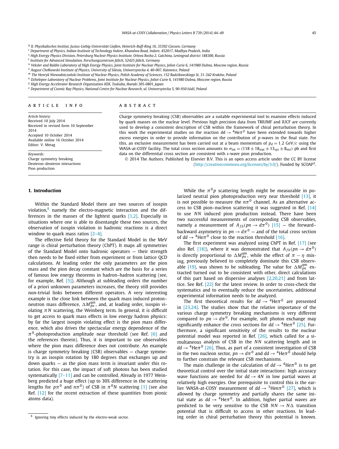<span id="page-2-0"></span><sup>q</sup> *II. Physikalisches Institut, Justus-Liebig-Universität Gießen, Heinrich-Buff-Ring 16, 35392 Giessen, Germany*

<sup>r</sup> *Department of Physics, Indian Institute of Technology Indore, Khandwa Road, Indore, 452017, Madhya Pradesh, India*

<sup>s</sup> High Energy Physics Division, Petersburg Nuclear Physics Institute, Orlova Rosha 2, Gatchina, Leningrad district 188300, Russia

<sup>t</sup> *Institute for Advanced Simulation, Forschungszentrum Jülich, 52425 Jülich, Germany*

u Veksler and Baldin Laboratory of High Energy Physics, Joint Institute for Nuclear Physics, Joliot-Curie 6, 141980 Dubna, Moscow region, Russia

<sup>v</sup> *August Chełkowski Institute of Physics, University of Silesia, Uniwersytecka 4, 40-007, Katowice, Poland*

W The Henryk Niewodniczański Institute of Nuclear Physics, Polish Academy of Sciences, 152 Radzikowskiego St, 31-342 Kraków, Poland

<sup>x</sup> Dzhelepov Laboratory of Nuclear Problems, Joint Institute for Nuclear Physics, Joliot-Curie 6, 141980 Dubna, Moscow region, Russia

<sup>y</sup> *High Energy Accelerator Research Organization KEK, Tsukuba, Ibaraki 305-0801, Japan*

<sup>z</sup> Department of Cosmic Ray Physics, National Centre for Nuclear Research, ul. Uniwersytecka 5, 90-950 Łódź, Poland

#### A R T I C L E I N F O A B S T R A C T

*Article history:* Received 10 July 2014 Received in revised form 10 September 2014 Accepted 10 October 2014 Available online 16 October 2014 Editor: V. Metag

*Keywords:* Charge symmetry breaking Deuteron–deuteron interactions Pion production

### **1. Introduction**

Within the Standard Model there are two sources of isospin violation,<sup>8</sup> namely the electro-magnetic interaction and the differences in the masses of the lightest quarks  $[1,2]$ . Especially in situations where one is able to disentangle these two sources, the observation of isospin violation in hadronic reactions is a direct window to quark mass ratios [\[2–4\].](#page-6-0)

The effective field theory for the Standard Model in the MeV range is chiral perturbation theory (ChPT). It maps all symmetries of the Standard Model onto hadronic operators — their strength then needs to be fixed either from experiment or from lattice QCD calculations. At leading order the only parameters are the pion mass and the pion decay constant which are the basis for a series of famous low energy theorems in hadron–hadron scattering (see, for example, Ref. [\[5\]\)](#page-6-0). Although at subleading orders the number of a priori unknown parameters increases, the theory still provides non-trivial links between different operators. A very interesting example is the close link between the quark mass induced proton– neutron mass difference,  $\Delta M_{pn}^{\text{qm}}$ , and, at leading order, isospin violating  $\pi N$  scattering, the Weinberg term. In general, it is difficult to get access to quark mass effects in low energy hadron physics: by far the largest isospin violating effect is the pion mass difference, which also drives the spectacular energy dependence of the  $\pi^0$ -photoproduction amplitude near threshold (see Ref. [\[6\]](#page-6-0) and the references therein). Thus, it is important to use observables where the pion mass difference does not contribute. An example is charge symmetry breaking (CSB) observables — charge symmetry is an isospin rotation by 180 degrees that exchanges up and down quarks — as the pion mass term is invariant under this rotation. For this case, the impact of soft photons has been studied systematically [7-11] and can be controlled. Already in 1977 Weinberg predicted a huge effect (up to 30% difference in the scattering lengths for  $p\pi^0$  and  $n\pi^0$ ) of CSB in  $\pi^0N$  scattering [\[1\]](#page-6-0) (see also Ref. [\[12\]](#page-6-0) for the recent extraction of these quantities from pionic atoms data).

Charge symmetry breaking (CSB) observables are a suitable experimental tool to examine effects induced by quark masses on the nuclear level. Previous high precision data from TRIUMF and IUCF are currently used to develop a consistent description of CSB within the framework of chiral perturbation theory. In this work the experimental studies on the reaction dd  $\rightarrow$  <sup>4</sup>He $\pi$ <sup>0</sup> have been extended towards higher excess energies in order to provide information on the contribution of *p*-waves in the final state. For this, an exclusive measurement has been carried out at a beam momentum of  $p_d = 1.2$  GeV/*c* using the WASA-at-COSY facility. The total cross section amounts to  $\sigma_{\text{tot}} = (118 \pm 18_{\text{stat}} \pm 13_{\text{sys}} \pm 8_{\text{ext}})$  pb and first data on the differential cross section are consistent with *s*-wave pion production.

© 2014 The Authors. Published by Elsevier B.V. This is an open access article under the CC BY license [\(http://creativecommons.org/licenses/by/3.0/\)](http://creativecommons.org/licenses/by/3.0/). Funded by SCOAP3.

> While the  $\pi^{0}$ *p* scattering length might be measurable in po-larized neutral pion photoproduction very near threshold [\[13\],](#page-6-0) it is not possible to measure the  $n\pi$ <sup>0</sup> channel. As an alternative access to CSB pion–nucleon scattering it was suggested in Ref. [\[14\]](#page-6-0) to use *NN* induced pion production instead. There have been two successful measurements of corresponding CSB observables, namely a measurement of  $A_{fb}(pn \rightarrow d\pi^0)$  [\[15\]](#page-6-0) — the forward– backward asymmetry in  $pn \rightarrow d\pi^0$  — and of the total cross section of  $dd \rightarrow$ <sup>4</sup>He $\pi$ <sup>0</sup> close to the reaction threshold [\[16\].](#page-6-0)

> The first experiment was analyzed using ChPT in Ref. [\[17\]](#page-6-0) (see also Ref. [\[18\]\)](#page-6-0), where it was demonstrated that  $A_{fb}(pn \rightarrow d\pi^0)$ is directly proportional to  $\Delta M_{pn}^{\text{qm}}$ , while the effect of  $\pi - \eta$  mixing, previously believed to completely dominate this CSB observ-able [\[19\],](#page-6-0) was shown to be subleading. The value for  $\Delta M_{pn}^{\text{qm}}$  extracted turned out to be consistent with other, direct calculations of this part based on dispersive analyses [\[2,20,21\]](#page-6-0) and from lattice. See Ref. [\[22\]](#page-6-0) for the latest review. In order to cross-check the systematics and to eventually reduce the uncertainties, additional experimental information needs to be analyzed.

> The first theoretical results for  $dd \rightarrow 4$ He $\pi$ <sup>0</sup> are presented in [\[23,24\].](#page-6-0) The studies show that the relative importance of the various charge symmetry breaking mechanisms is very different compared to  $pn \to d\pi^0$ . For example, soft photon exchange may significantly enhance the cross sections for  $dd \rightarrow$ <sup>4</sup>He $\pi$ <sup>0</sup> [\[25\].](#page-6-0) Furthermore, a significant sensitivity of the results to the nuclear potential model was reported in Ref. [\[26\],](#page-6-0) which called for a simultaneous analysis of CSB in the *NN* scattering length and in  $dd \rightarrow$ <sup>4</sup>He $\pi$ <sup>0</sup> [\[26\].](#page-6-0) Thus, as part of a consistent investigation of CSB in the two nucleon sector,  $pn \to d\pi^0$  and  $dd \to 4$ He $\pi^0$  should help to further constrain the relevant CSB mechanisms.

> The main challenge in the calculation of  $dd \rightarrow 4$ He $\pi$ <sup>0</sup> is to get theoretical control over the initial state interactions: high accuracy wave functions are needed for  $dd \rightarrow 4N$  in low partial waves at relatively high energies. One prerequisite to control this is the earlier WASA-at-COSY measurement of  $dd \rightarrow$ <sup>3</sup>Hen $\pi$ <sup>0</sup> [\[27\],](#page-6-0) which is allowed by charge symmetry and partially shares the same initial state as  $dd \rightarrow 4$ He $\pi$ <sup>0</sup>. In addition, higher partial waves are predicted to be very sensitive to the CSB  $NN \rightarrow N\Delta$  transition potential that is difficult to access in other reactions. In leading order in chiral perturbation theory this potential is known.

<sup>8</sup> Ignoring tiny effects induced by the electro-weak sector.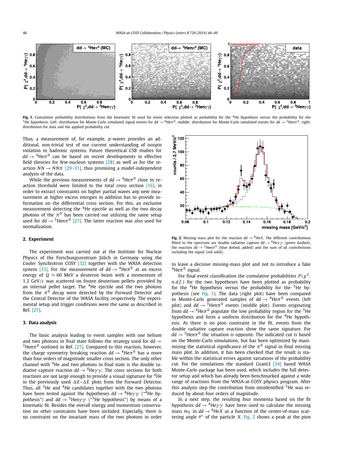<span id="page-3-0"></span>

Fig. 1. Cumulative probability distributions from the kinematic fit used for event selection plotted as probability for the <sup>4</sup>He hypothesis versus the probability for the <sup>3</sup>He hypothesis. Left: distribution for Monte-Carlo simulated signal events for  $dd \rightarrow 4$ He $\pi^0$ , middle: distribution for Monte-Carlo simulated events for  $dd \rightarrow 3$ Hen $\pi^0$ , right: distribution for data and the applied probability cut.

Thus, a measurement of, for example, *p*-waves provides an additional, non-trivial test of our current understanding of isospin violation in hadronic systems. Future theoretical CSB studies for  $dd \rightarrow$ <sup>4</sup>He $\pi$ <sup>0</sup> can be based on recent developments in effective field theories for few-nucleon systems [\[28\]](#page-6-0) as well as for the reaction  $NN \rightarrow NN\pi$  [\[29–31\],](#page-6-0) thus promising a model-independent analysis of the data.

While the previous measurements of  $dd \rightarrow$  <sup>4</sup>He $\pi$ <sup>0</sup> close to reaction threshold were limited to the total cross section [\[16\],](#page-6-0) in order to extract constraints on higher partial waves any new measurement at higher excess energies in addition has to provide information on the differential cross section. For this, an exclusive measurement detecting the  $4$ He ejectile as well as the two decay photons of the  $\pi^0$  has been carried out utilizing the same setup used for  $dd \rightarrow$  <sup>3</sup>Hen $\pi$ <sup>0</sup> [\[27\].](#page-6-0) The latter reaction was also used for normalization.

#### **2. Experiment**

The experiment was carried out at the Institute for Nuclear Physics of the Forschungszentrum Jülich in Germany using the Cooler Synchrotron COSY [\[32\]](#page-6-0) together with the WASA detection system [\[33\].](#page-6-0) For the measurement of  $dd \rightarrow 4$ He $\pi$ <sup>0</sup> at an excess energy of  $Q \approx 60$  MeV a deuteron beam with a momentum of 1*.*2 GeV*/c* was scattered on frozen deuterium pellets provided by an internal pellet target. The <sup>4</sup>He ejectile and the two photons from the  $\pi^0$  decay were detected by the Forward Detector and the Central Detector of the WASA facility, respectively. The experimental setup and trigger conditions were the same as described in Ref. [\[27\].](#page-6-0)

#### **3. Data analysis**

The basic analysis leading to event samples with one helium and two photons in final state follows the strategy used for  $dd \rightarrow$ <sup>3</sup>Hen $\pi$ <sup>0</sup> outlined in Ref. [\[27\].](#page-6-0) Compared to this reaction, however, the charge symmetry breaking reaction *dd* → 4He*π*<sup>0</sup> has <sup>a</sup> more than four orders of magnitude smaller cross section. The only other channel with  $4$ He and two photons in final state is the double radiative capture reaction  $dd \rightarrow {}^{4}He\gamma\gamma$ . The cross sections for both reactions are not large enough to provide a visual signature for <sup>4</sup>He in the previously used  $\Delta E - \Delta E$  plots from the Forward Detector. Thus, all  $3$ He and  $4$ He candidates together with the two photons have been tested against the hypotheses  $dd \rightarrow$ <sup>4</sup>He $\gamma \gamma$  ("<sup>4</sup>He hypothesis") and  $dd \rightarrow$  <sup>3</sup>Hen $\gamma \gamma$  ("<sup>3</sup>He hypothesis") by means of a kinematic fit. Besides the overall energy and momentum conservation no other constraints have been included. Especially, there is no constraint on the invariant mass of the two photons in order



**Fig. 2.** Missing mass plot for the reaction  $dd \rightarrow {}^4$ He*X*. The different contributions fitted to the spectrum are double radiative capture  $dd \rightarrow$ <sup>4</sup>He $\gamma \gamma$  (green dashed), the reaction  $dd \rightarrow 3$ Hen $\pi$ <sup>0</sup> (blue dotted, added) and the sum of all contributions including the signal (red solid).

to leave a decisive missing-mass plot and not to introduce a fake  $^{4}$ He $\pi^{0}$  signal.

For final event classification the cumulative probabilities  $P(\chi^2)$ , *n.d.f.)* for the two hypotheses have been plotted as probability for the  ${}^{4}$ He hypothesis versus the probability for the  ${}^{3}$ He hypothesis (see Fig. 1). The data (right plot) have been compared to Monte-Carlo generated samples of  $dd \rightarrow 4$ He $\pi$ <sup>0</sup> events (left plot) and  $dd \rightarrow$  <sup>3</sup>Hen $\pi$ <sup>0</sup> events (middle plot). Events originating from  $dd \rightarrow$ <sup>4</sup>He $\pi$ <sup>0</sup> populate the low probability region for the <sup>3</sup>He hypothesis and form a uniform distribution for the <sup>4</sup>He hypothesis. As there is no pion constraint in the fit, events from the double radiative capture reaction show the same signature. For  $dd \rightarrow$ <sup>3</sup>Hen $\pi$ <sup>0</sup> the situation is opposite. The indicated cut is based on the Monte-Carlo simulations, but has been optimized by maximizing the statistical significance of the  $\pi^0$  signal in final missing mass plot. In addition, it has been checked that the result is stable within the statistical errors against variations of the probability cut. For the simulations the standard Geant3 [\[34\]](#page-6-0) based WASA Monte-Carlo package has been used, which includes the full detector setup and which has already been benchmarked against a wide range of reactions from the WASA-at-COSY physics program. After this analysis step the contribution from misidentified <sup>3</sup>He was reduced by about four orders of magnitude.

In a next step, the resulting four momenta based on the fit hypothesis  $dd \rightarrow {}^4$ He $\gamma\gamma$  have been used to calculate the missing mass  $m_X$  in  $dd \rightarrow$  <sup>4</sup>He*X* as a function of the center-of-mass scattering angle  $\theta^*$  of the particle *X*. Fig. 2 shows a peak at the pion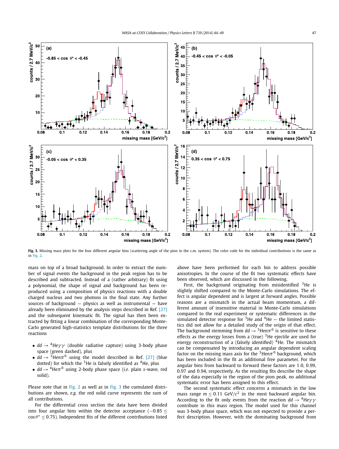<span id="page-4-0"></span>

Fig. 3. Missing mass plots for the four different angular bins (scattering angle of the pion in the c.m. system). The color code for the individual contributions is the same as in [Fig. 2.](#page-3-0)

mass on top of a broad background. In order to extract the number of signal events the background in the peak region has to be described and subtracted. Instead of a (rather arbitrary) fit using a polynomial, the shape of signal and background has been reproduced using a composition of physics reactions with a double charged nucleus and two photons in the final state. Any further sources of background — physics as well as instrumental — have already been eliminated by the analysis steps described in Ref. [\[27\]](#page-6-0) and the subsequent kinematic fit. The signal has then been extracted by fitting a linear combination of the corresponding Monte-Carlo generated high-statistics template distributions for the three reactions

- $dd \rightarrow$  <sup>4</sup>He $\gamma\gamma$  (double radiative capture) using 3-body phase space (green dashed), plus
- $dd \rightarrow$  <sup>3</sup>Hen $\pi$ <sup>0</sup> using the model described in Ref. [\[27\]](#page-6-0) (blue dotted) for which the  $3$ He is falsely identified as  $4$ He, plus
- $dd \rightarrow$  <sup>4</sup>He $\pi$ <sup>0</sup> using 2-body phase space (*i.e.* plain *s*-wave, red solid).

Please note that in [Fig. 2](#page-3-0) as well as in Fig. 3 the cumulated distributions are shown, *e.g.* the red solid curve represents the sum of all contributions.

For the differential cross section the data have been divided into four angular bins within the detector acceptance (−0*.*85 ≤  $\cos \theta^* \leq 0.75$ ). Independent fits of the different contributions listed above have been performed for each bin to address possible anisotropies. In the course of the fit two systematic effects have been observed, which are discussed in the following.

First, the background originating from misidentified  $3$ He is slightly shifted compared to the Monte-Carlo simulations. The effect is angular dependent and is largest at forward angles. Possible reasons are a mismatch in the actual beam momentum, a different amount of insensitive material in Monte-Carlo simulations compared to the real experiment or systematic differences in the simulated detector response for <sup>3</sup>He and <sup>4</sup>He  $-$  the limited statistics did not allow for a detailed study of the origin of that effect. The background stemming from  $dd \rightarrow$ <sup>3</sup>Hen $\pi$ <sup>0</sup> is sensitive to these effects as the energy losses from a (true)  $3$ He ejectile are used for energy reconstruction of a (falsely identified)  $4$ He. The mismatch can be compensated by introducing an angular dependent scaling factor on the missing mass axis for the  $3$ Hen $\pi$ <sup>0</sup> background, which has been included in the fit as additional free parameter. For the angular bins from backward to forward these factors are 1*.*0, 0*.*99, 0*.*97 and 0*.*94, respectively. As the resulting fits describe the shape of the data especially in the region of the pion peak, no additional systematic error has been assigned to this effect.

The second systematic effect concerns a mismatch in the low mass range  $m \le 0.11$  GeV/ $c^2$  in the most backward angular bin. According to the fit only events from the reaction  $dd \rightarrow$ <sup>4</sup>He $\gamma\gamma$ contribute in this mass region. The model used for this channel was 3-body phase space, which was not expected to provide a perfect description. However, with the dominating background from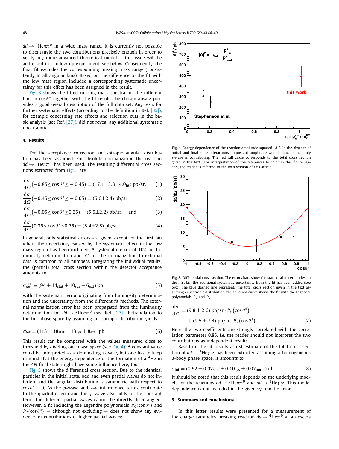$dd \rightarrow$ <sup>3</sup>Hen $\pi$ <sup>0</sup> in a wide mass range, it is currently not possible to disentangle the two contributions precisely enough in order to verify any more advanced theoretical model — this issue will be addressed in a follow-up experiment, see below. Consequently, the final fit excludes the corresponding missing mass range (consistently in all angular bins). Based on the difference to the fit with the low mass region included a corresponding systematic uncertainty for this effect has been assigned in the result.

[Fig. 3](#page-4-0) shows the fitted missing mass spectra for the different bins in  $\cos \theta^*$  together with the fit result. The chosen ansatz provides a good overall description of the full data set. Any tests for further systematic effects (according to the definition in Ref. [\[35\]\)](#page-6-0), for example concerning rate effects and selection cuts in the basic analysis (see Ref. [\[27\]\)](#page-6-0), did not reveal any additional systematic uncertainties.

#### **4. Results**

For the acceptance correction an isotropic angular distribution has been assumed. For absolute normalization the reaction  $dd \rightarrow$ <sup>3</sup>Hen $\pi$ <sup>0</sup> has been used. The resulting differential cross sections extracted from [Fig. 3](#page-4-0) are

$$
\frac{d\sigma}{d\Omega}(-0.85 \le \cos \theta^* \le -0.45) = (17.1 \pm 3.8 \pm 4.0_{\text{fit}}) \text{ pb/sr}, \quad (1)
$$

$$
\frac{d\sigma}{d\Omega}(-0.45 \le \cos \theta^* \le -0.05) = (6.6 \pm 2.4) \text{ pb/sr},\tag{2}
$$

$$
\frac{d\sigma}{d\Omega}(-0.05 \le \cos \theta^* \le 0.35) = (5.5 \pm 2.2) \text{ pb/sr}, \text{ and}
$$
 (3)

$$
\frac{d\sigma}{d\Omega}(0.35 \le \cos \theta^* \le 0.75) = (8.4 \pm 2.8) \text{ pb/sr.}
$$
 (4)

In general, only statistical errors are given, except for the first bin where the uncertainty caused by the systematic effect in the low mass region has been included. A systematic error of 10% for luminosity determination and 7% for the normalization to external data is common to all numbers. Integrating the individual results, the (partial) total cross section within the detector acceptance amounts to

$$
\sigma_{\text{tot}}^{\text{acc}} = (94 \pm 14_{\text{stat}} \pm 10_{\text{sys}} \pm 6_{\text{ext}}) \text{ pb} \tag{5}
$$

with the systematic error originating from luminosity determination and the uncertainty from the different fit methods. The external normalization error has been propagated from the luminosity determination for  $dd \rightarrow$ <sup>3</sup>Hen $\pi$ <sup>0</sup> (see Ref. [\[27\]\)](#page-6-0). Extrapolation to the full phase space by assuming an isotropic distribution yields

$$
\sigma_{\text{tot}} = (118 \pm 18_{\text{stat}} \pm 13_{\text{sys}} \pm 8_{\text{ext}}) \text{ pb.}
$$
 (6)

This result can be compared with the values measured close to threshold by dividing out phase space (see Fig. 4). A constant value could be interpreted as a dominating *s*-wave, but one has to keep in mind that the energy dependence of the formation of a  ${}^{4}$ He in the 4*N* final state might have some influence here, too.

Fig. 5 shows the differential cross section. Due to the identical particles in the initial state, odd and even partial waves do not interfere and the angular distribution is symmetric with respect to  $\cos \theta^* = 0$ . As the *p*-wave and *s*-*d* interference terms contribute to the quadratic term and the *p*-wave also adds to the constant term, the different partial waves cannot be directly disentangled. However, a fit including the Legendre polynomials  $P_0(\cos \theta^*)$  and  $P_2(\cos \theta^*)$  — although not excluding — does not show any evidence for contributions of higher partial waves:



**Fig. 4.** Energy dependence of the reaction amplitude squared  $|A|^2$ . In the absence of initial and final state interactions a constant amplitude would indicate that only *s*-wave is contributing. The red full circle corresponds to the total cross section given in the text. (For interpretation of the references to color in this figure legend, the reader is referred to the web version of this article.)



**Fig. 5.** Differential cross section. The errors bars show the statistical uncertainties. In the first bin the additional systematic uncertainty from the fit has been added (see text). The blue dashed line represents the total cross section given in the text assuming an isotropic distribution, the solid red curve shows the fit with the Legendre polynomials *P*<sup>0</sup> and *P*2.

$$
\frac{d\sigma}{d\Omega} = (9.8 \pm 2.6) \text{ pb/sr} \cdot P_0(\cos \theta^*)
$$
  
+ (9.5 \pm 7.4) pb/sr \cdot P\_2(\cos \theta^\*). (7)

Here, the two coefficients are strongly correlated with the correlation parameter 0.85, *i.e.* the reader should not interpret the two contributions as independent results.

Based on the fit results a first estimate of the total cross section of *dd* → 4He*γ γ* has been extracted assuming <sup>a</sup> homogeneous 3-body phase space. It amounts to

$$
\sigma_{\text{tot}} = (0.92 \pm 0.07_{\text{stat}} \pm 0.10_{\text{sys}} \pm 0.07_{\text{norm}}) \text{ nb.}
$$
 (8)

It should be noted that this result depends on the underlying models for the reactions  $dd \rightarrow 3$ Hen $\pi^0$  and  $dd \rightarrow 4$ He $\gamma \gamma$ . This model dependence is not included in the given systematic error.

#### **5. Summary and conclusions**

In this letter results were presented for a measurement of the charge symmetry breaking reaction  $dd \rightarrow$  <sup>4</sup>He $\pi$ <sup>0</sup> at an excess